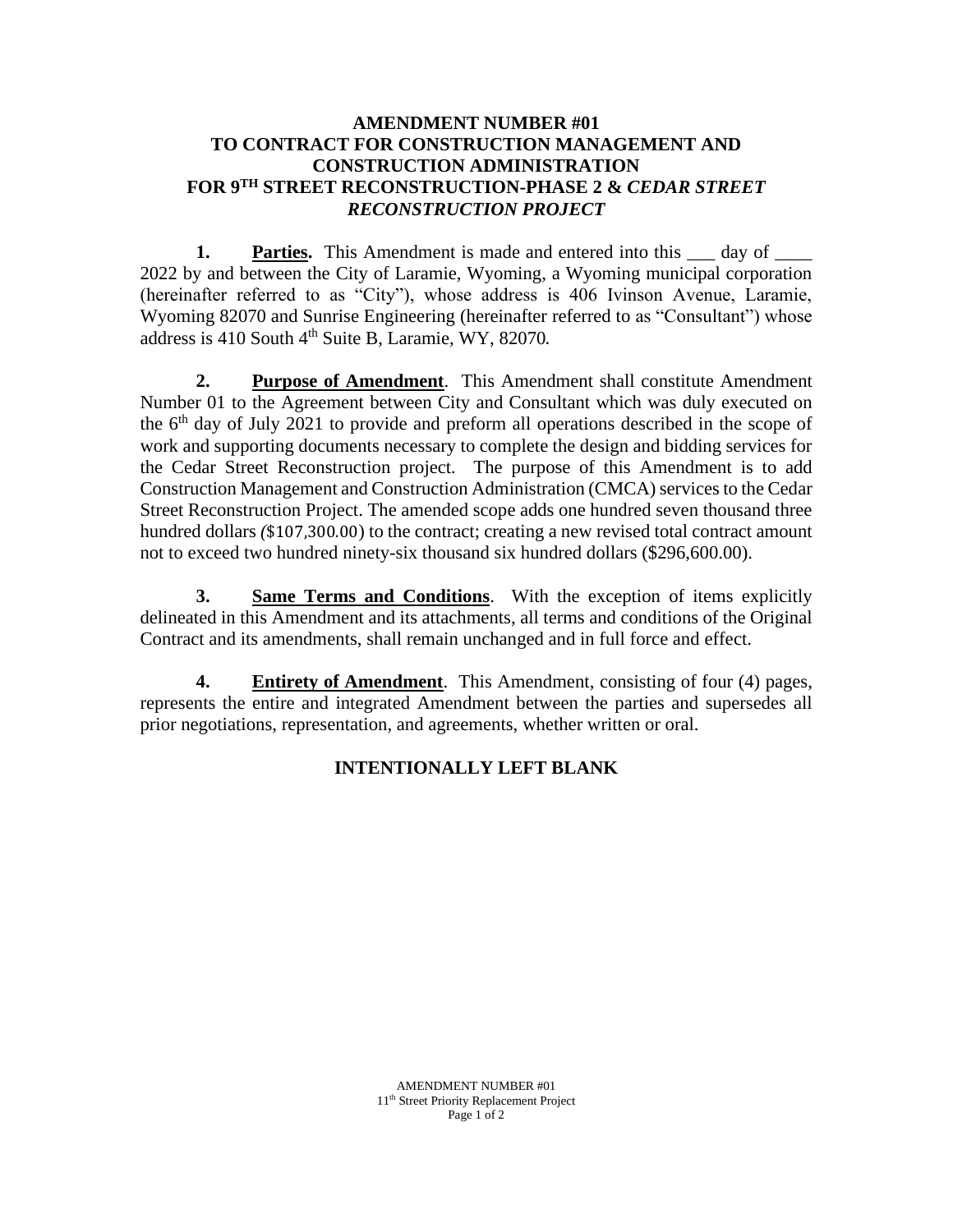## **AMENDMENT NUMBER #01 TO CONTRACT FOR CONSTRUCTION MANAGEMENT AND CONSTRUCTION ADMINISTRATION FOR 9 TH STREET RECONSTRUCTION-PHASE 2 &** *CEDAR STREET RECONSTRUCTION PROJECT*

**1. Parties.** This Amendment is made and entered into this day of 2022 by and between the City of Laramie, Wyoming, a Wyoming municipal corporation (hereinafter referred to as "City"), whose address is 406 Ivinson Avenue, Laramie, Wyoming 82070 and Sunrise Engineering (hereinafter referred to as "Consultant") whose address is  $410$  South  $4<sup>th</sup>$  Suite B, Laramie, WY, 82070.

**2. Purpose of Amendment**. This Amendment shall constitute Amendment Number 01 to the Agreement between City and Consultant which was duly executed on the 6<sup>th</sup> day of July 2021 to provide and preform all operations described in the scope of work and supporting documents necessary to complete the design and bidding services for the Cedar Street Reconstruction project. The purpose of this Amendment is to add Construction Management and Construction Administration (CMCA) services to the Cedar Street Reconstruction Project. The amended scope adds one hundred seven thousand three hundred dollars (\$107,300.00) to the contract; creating a new revised total contract amount not to exceed two hundred ninety-six thousand six hundred dollars (\$296,600.00).

**3. Same Terms and Conditions**. With the exception of items explicitly delineated in this Amendment and its attachments, all terms and conditions of the Original Contract and its amendments, shall remain unchanged and in full force and effect.

**4. Entirety of Amendment**. This Amendment, consisting of four (4) pages, represents the entire and integrated Amendment between the parties and supersedes all prior negotiations, representation, and agreements, whether written or oral.

# **INTENTIONALLY LEFT BLANK**

AMENDMENT NUMBER #01 11th Street Priority Replacement Project Page 1 of 2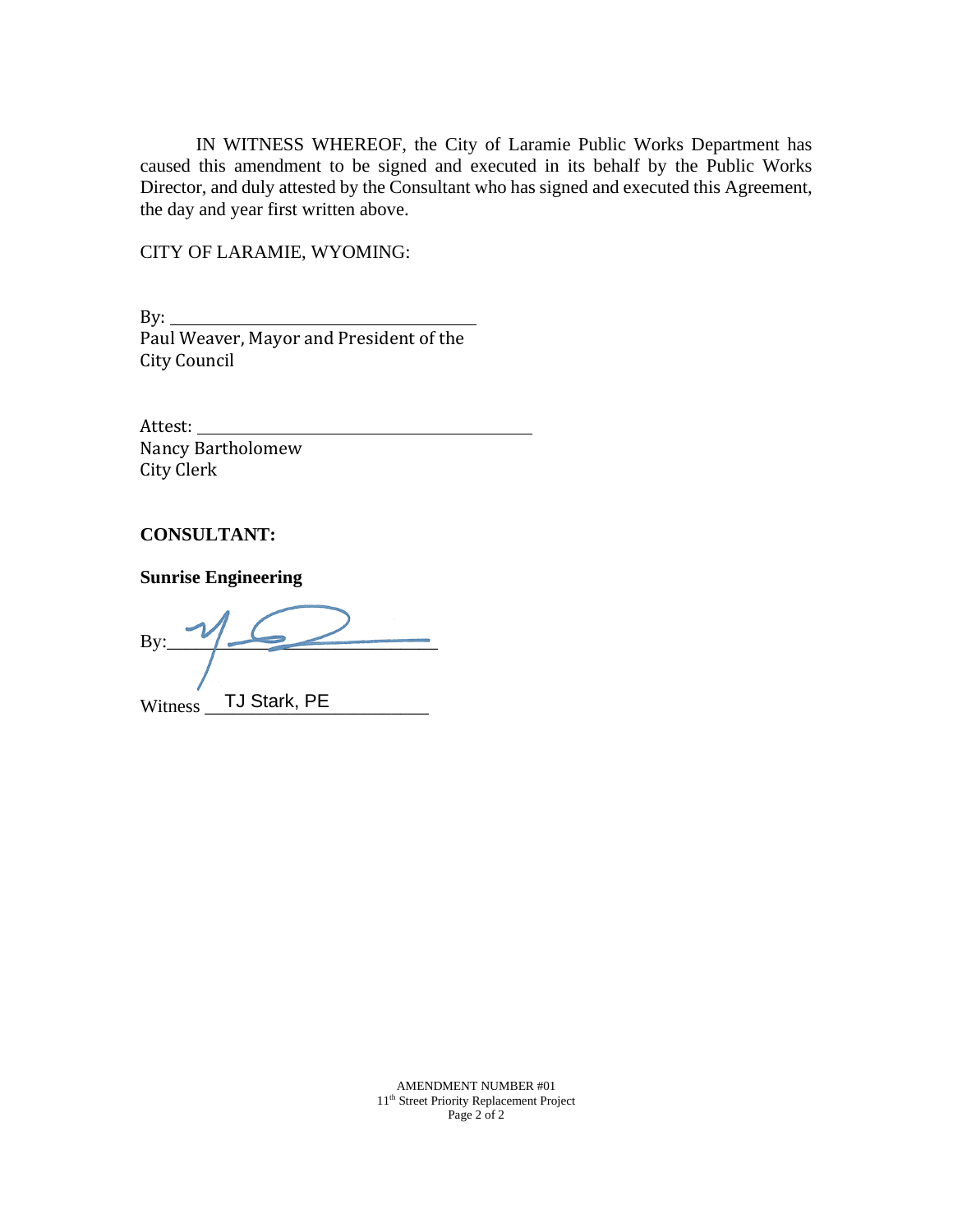IN WITNESS WHEREOF, the City of Laramie Public Works Department has caused this amendment to be signed and executed in its behalf by the Public Works Director, and duly attested by the Consultant who has signed and executed this Agreement, the day and year first written above.

CITY OF LARAMIE, WYOMING:

By: Paul Weaver, Mayor and President of the City Council

Attest: Nancy Bartholomew City Clerk

### **CONSULTANT:**

**Sunrise Engineering**

 $By:$ Witness TJ Stark, PE

AMENDMENT NUMBER #01 11th Street Priority Replacement Project Page 2 of 2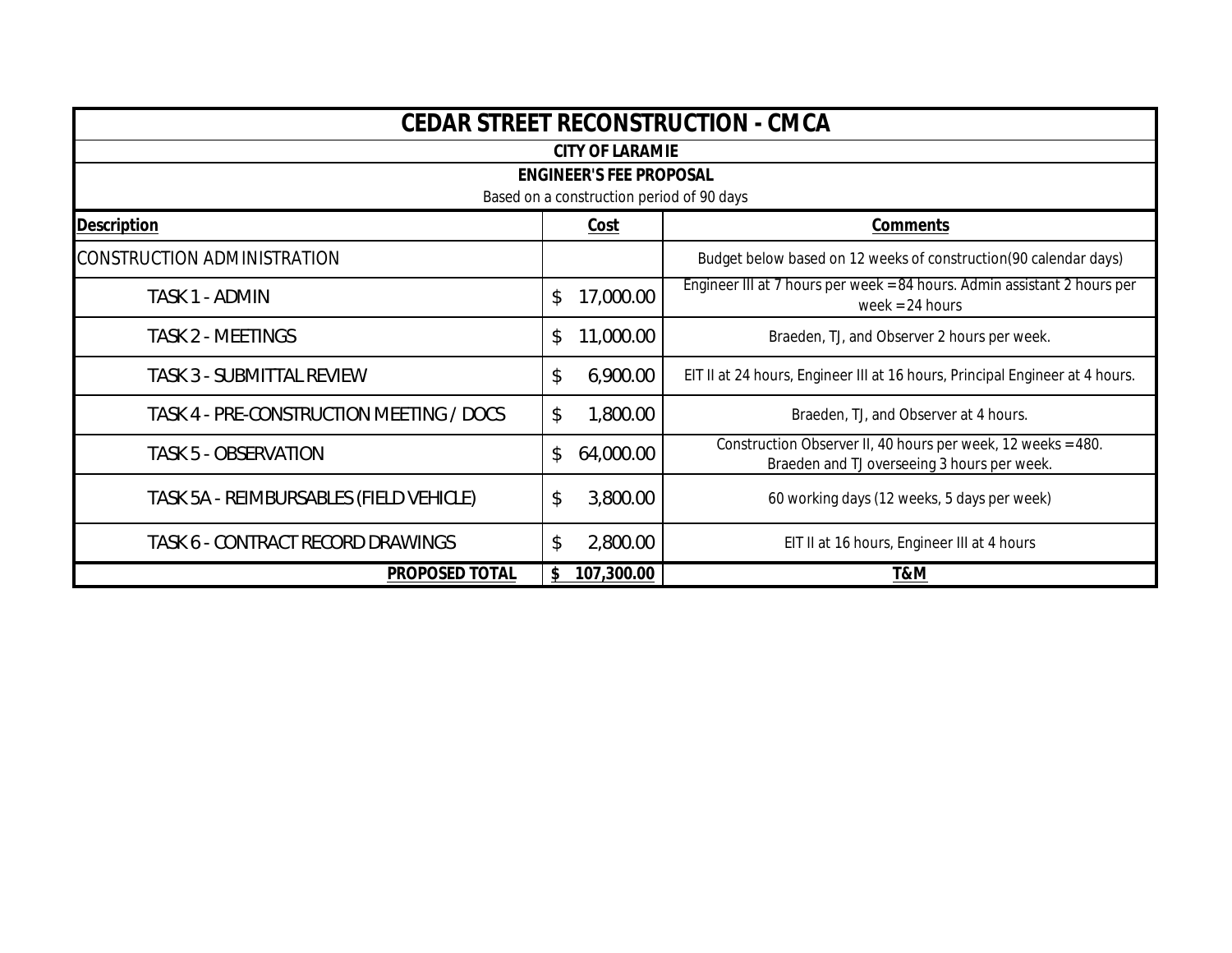| CEDAR STREET RECONSTRUCTION - CMCA        |     |            |                                                                                                             |  |  |  |  |
|-------------------------------------------|-----|------------|-------------------------------------------------------------------------------------------------------------|--|--|--|--|
| <b>CITY OF LARAMIE</b>                    |     |            |                                                                                                             |  |  |  |  |
| <b>ENGINEER'S FEE PROPOSAL</b>            |     |            |                                                                                                             |  |  |  |  |
| Based on a construction period of 90 days |     |            |                                                                                                             |  |  |  |  |
| <b>Description</b>                        |     | Cost       | Comments                                                                                                    |  |  |  |  |
| <b>CONSTRUCTION ADMINISTRATION</b>        |     |            | Budget below based on 12 weeks of construction(90 calendar days)                                            |  |  |  |  |
| TASK 1 - ADMIN                            | \$  | 17,000.00  | Engineer III at 7 hours per week = 84 hours. Admin assistant 2 hours per<br>week = $24$ hours               |  |  |  |  |
| <b>TASK 2 - MEETINGS</b>                  | \$  | 11,000.00  | Braeden, TJ, and Observer 2 hours per week.                                                                 |  |  |  |  |
| <b>TASK 3 - SUBMITTAL REVIEW</b>          | \$  | 6,900.00   | EIT II at 24 hours, Engineer III at 16 hours, Principal Engineer at 4 hours.                                |  |  |  |  |
| TASK 4 - PRE-CONSTRUCTION MEETING / DOCS  | \$  | 1,800.00   | Braeden, TJ, and Observer at 4 hours.                                                                       |  |  |  |  |
| <b>TASK 5 - OBSERVATION</b>               | \$  | 64,000.00  | Construction Observer II, 40 hours per week, 12 weeks = 480.<br>Braeden and TJ overseeing 3 hours per week. |  |  |  |  |
| TASK 5A - REIMBURSABLES (FIELD VEHICLE)   | \$  | 3,800.00   | 60 working days (12 weeks, 5 days per week)                                                                 |  |  |  |  |
| TASK 6 - CONTRACT RECORD DRAWINGS         | \$  | 2,800.00   | EIT II at 16 hours, Engineer III at 4 hours                                                                 |  |  |  |  |
| PROPOSED TOTAL                            | \$. | 107,300.00 | T&M                                                                                                         |  |  |  |  |